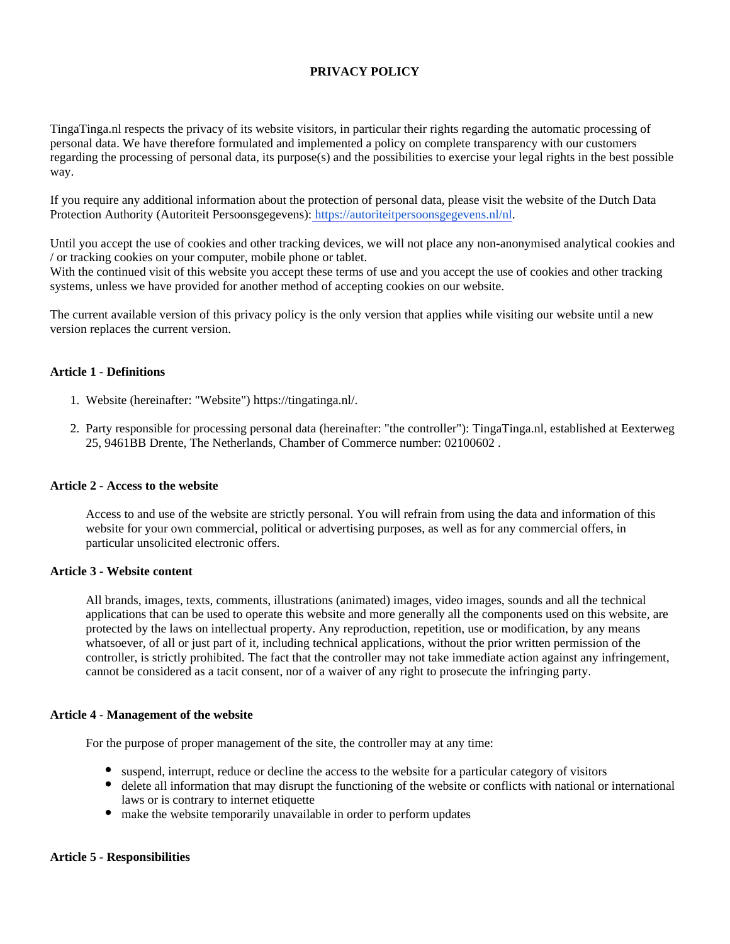# **PRIVACY POLICY**

TingaTinga.nl respects the privacy of its website visitors, in particular their rights regarding the automatic processing of personal data. We have therefore formulated and implemented a policy on complete transparency with our customers regarding the processing of personal data, its purpose(s) and the possibilities to exercise your legal rights in the best possible way.

If you require any additional information about the protection of personal data, please visit the website of the Dutch Data Protection Authority (Autoriteit Persoonsgegevens): [https://autoriteitpersoonsgegevens.nl/nl.](https://autoriteitpersoonsgegevens.nl/nl)

Until you accept the use of cookies and other tracking devices, we will not place any non-anonymised analytical cookies and / or tracking cookies on your computer, mobile phone or tablet.

With the continued visit of this website you accept these terms of use and you accept the use of cookies and other tracking systems, unless we have provided for another method of accepting cookies on our website.

The current available version of this privacy policy is the only version that applies while visiting our website until a new version replaces the current version.

#### **Article 1 - Definitions**

- 1. Website (hereinafter: "Website") https://tingatinga.nl/.
- 2. Party responsible for processing personal data (hereinafter: "the controller"): TingaTinga.nl, established at Eexterweg 25, 9461BB Drente, The Netherlands, Chamber of Commerce number: 02100602 .

#### **Article 2 - Access to the website**

Access to and use of the website are strictly personal. You will refrain from using the data and information of this website for your own commercial, political or advertising purposes, as well as for any commercial offers, in particular unsolicited electronic offers.

### **Article 3 - Website content**

All brands, images, texts, comments, illustrations (animated) images, video images, sounds and all the technical applications that can be used to operate this website and more generally all the components used on this website, are protected by the laws on intellectual property. Any reproduction, repetition, use or modification, by any means whatsoever, of all or just part of it, including technical applications, without the prior written permission of the controller, is strictly prohibited. The fact that the controller may not take immediate action against any infringement, cannot be considered as a tacit consent, nor of a waiver of any right to prosecute the infringing party.

#### **Article 4 - Management of the website**

For the purpose of proper management of the site, the controller may at any time:

- suspend, interrupt, reduce or decline the access to the website for a particular category of visitors
- delete all information that may disrupt the functioning of the website or conflicts with national or international laws or is contrary to internet etiquette
- make the website temporarily unavailable in order to perform updates

#### **Article 5 - Responsibilities**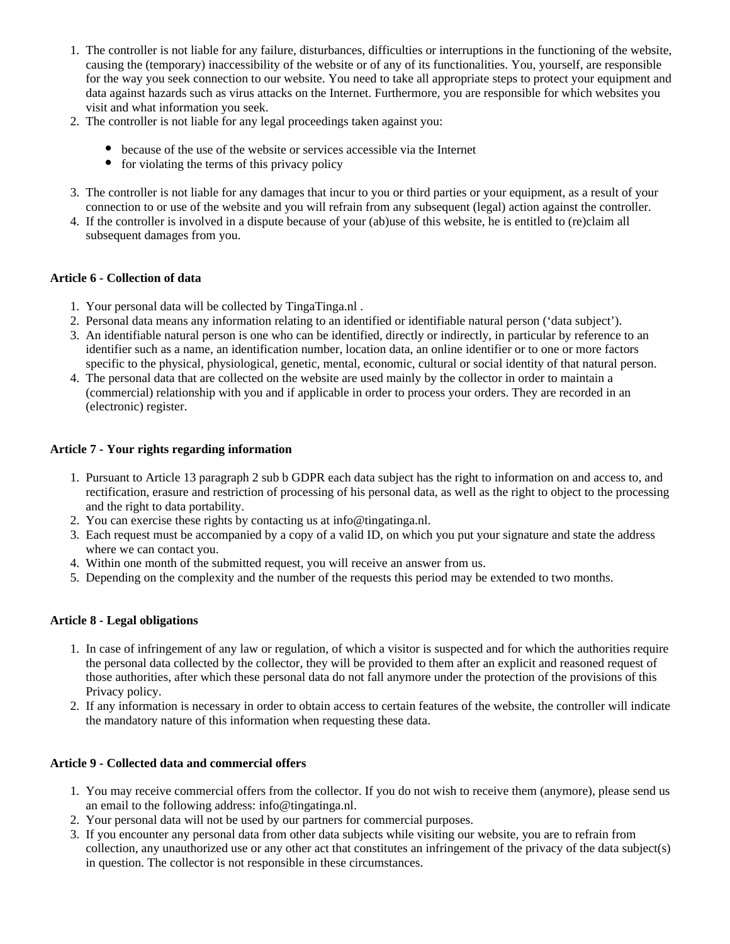- 1. The controller is not liable for any failure, disturbances, difficulties or interruptions in the functioning of the website, causing the (temporary) inaccessibility of the website or of any of its functionalities. You, yourself, are responsible for the way you seek connection to our website. You need to take all appropriate steps to protect your equipment and data against hazards such as virus attacks on the Internet. Furthermore, you are responsible for which websites you visit and what information you seek.
- 2. The controller is not liable for any legal proceedings taken against you:
	- because of the use of the website or services accessible via the Internet
	- $\bullet$  for violating the terms of this privacy policy
- 3. The controller is not liable for any damages that incur to you or third parties or your equipment, as a result of your connection to or use of the website and you will refrain from any subsequent (legal) action against the controller.
- 4. If the controller is involved in a dispute because of your (ab)use of this website, he is entitled to (re)claim all subsequent damages from you.

# **Article 6 - Collection of data**

- 1. Your personal data will be collected by TingaTinga.nl .
- 2. Personal data means any information relating to an identified or identifiable natural person ('data subject').
- 3. An identifiable natural person is one who can be identified, directly or indirectly, in particular by reference to an identifier such as a name, an identification number, location data, an online identifier or to one or more factors specific to the physical, physiological, genetic, mental, economic, cultural or social identity of that natural person.
- 4. The personal data that are collected on the website are used mainly by the collector in order to maintain a (commercial) relationship with you and if applicable in order to process your orders. They are recorded in an (electronic) register.

# **Article 7 - Your rights regarding information**

- 1. Pursuant to Article 13 paragraph 2 sub b GDPR each data subject has the right to information on and access to, and rectification, erasure and restriction of processing of his personal data, as well as the right to object to the processing and the right to data portability.
- 2. You can exercise these rights by contacting us at info@tingatinga.nl.
- 3. Each request must be accompanied by a copy of a valid ID, on which you put your signature and state the address where we can contact you.
- 4. Within one month of the submitted request, you will receive an answer from us.
- 5. Depending on the complexity and the number of the requests this period may be extended to two months.

### **Article 8 - Legal obligations**

- 1. In case of infringement of any law or regulation, of which a visitor is suspected and for which the authorities require the personal data collected by the collector, they will be provided to them after an explicit and reasoned request of those authorities, after which these personal data do not fall anymore under the protection of the provisions of this Privacy policy.
- 2. If any information is necessary in order to obtain access to certain features of the website, the controller will indicate the mandatory nature of this information when requesting these data.

## **Article 9 - Collected data and commercial offers**

- 1. You may receive commercial offers from the collector. If you do not wish to receive them (anymore), please send us an email to the following address: info@tingatinga.nl.
- 2. Your personal data will not be used by our partners for commercial purposes.
- 3. If you encounter any personal data from other data subjects while visiting our website, you are to refrain from collection, any unauthorized use or any other act that constitutes an infringement of the privacy of the data subject(s) in question. The collector is not responsible in these circumstances.